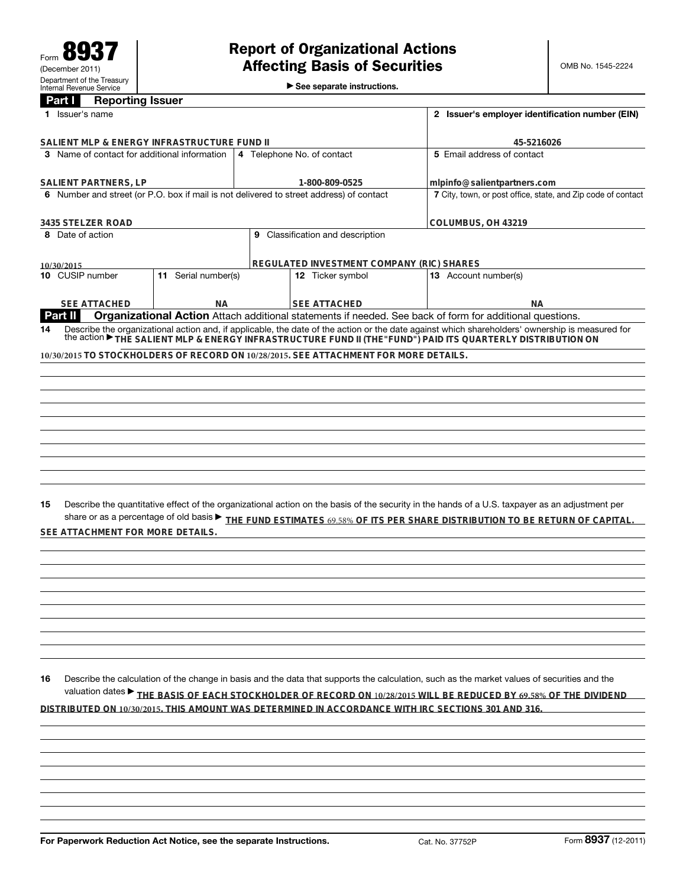$\blacktriangleright$  See separate instructions.

| <b>Part I</b><br><b>Reporting Issuer</b> |  |
|------------------------------------------|--|
|------------------------------------------|--|

| <b>Fait</b><br>neporung issuer<br>1 Issuer's name<br>SALIENT MLP & ENERGY INFRASTRUCTURE FUND II |                                              |                     |  | 2 Issuer's employer identification number (EIN)                                         |                                                                                                                                                                                                                                                                                                                                                                        |  |  |
|--------------------------------------------------------------------------------------------------|----------------------------------------------|---------------------|--|-----------------------------------------------------------------------------------------|------------------------------------------------------------------------------------------------------------------------------------------------------------------------------------------------------------------------------------------------------------------------------------------------------------------------------------------------------------------------|--|--|
|                                                                                                  |                                              |                     |  | 45-5216026                                                                              |                                                                                                                                                                                                                                                                                                                                                                        |  |  |
|                                                                                                  | 3 Name of contact for additional information |                     |  | 4 Telephone No. of contact                                                              | 5 Email address of contact                                                                                                                                                                                                                                                                                                                                             |  |  |
|                                                                                                  |                                              |                     |  |                                                                                         |                                                                                                                                                                                                                                                                                                                                                                        |  |  |
|                                                                                                  | SALIENT PARTNERS, LP                         |                     |  | 1-800-809-0525                                                                          | mlpinfo@salientpartners.com                                                                                                                                                                                                                                                                                                                                            |  |  |
|                                                                                                  |                                              |                     |  | 6 Number and street (or P.O. box if mail is not delivered to street address) of contact | 7 City, town, or post office, state, and Zip code of contact                                                                                                                                                                                                                                                                                                           |  |  |
|                                                                                                  | 3435 STELZER ROAD                            |                     |  |                                                                                         | COLUMBUS, OH 43219                                                                                                                                                                                                                                                                                                                                                     |  |  |
| 8 Date of action<br>9 Classification and description                                             |                                              |                     |  |                                                                                         |                                                                                                                                                                                                                                                                                                                                                                        |  |  |
|                                                                                                  |                                              |                     |  |                                                                                         |                                                                                                                                                                                                                                                                                                                                                                        |  |  |
|                                                                                                  | 10/30/2015                                   |                     |  | REGULATED INVESTMENT COMPANY (RIC) SHARES                                               |                                                                                                                                                                                                                                                                                                                                                                        |  |  |
|                                                                                                  | 10 CUSIP number                              | 11 Serial number(s) |  | 12 Ticker symbol                                                                        | <b>13</b> Account number(s)                                                                                                                                                                                                                                                                                                                                            |  |  |
|                                                                                                  | <b>SEE ATTACHED</b>                          | ΝA                  |  | <b>SEE ATTACHED</b>                                                                     | ΝA                                                                                                                                                                                                                                                                                                                                                                     |  |  |
|                                                                                                  | <b>Part II</b>                               |                     |  |                                                                                         | Organizational Action Attach additional statements if needed. See back of form for additional questions.                                                                                                                                                                                                                                                               |  |  |
| 15                                                                                               |                                              |                     |  |                                                                                         | Describe the quantitative effect of the organizational action on the basis of the security in the hands of a U.S. taxpayer as an adjustment per<br>share or as a percentage of old basis $\blacktriangleright$ THE FUND ESTIMATES 69.58% OF ITS PER SHARE DISTRIBUTION TO BE RETURN OF CAPITAL                                                                         |  |  |
|                                                                                                  | SEE ATTACHMENT FOR MORE DETAILS.             |                     |  |                                                                                         |                                                                                                                                                                                                                                                                                                                                                                        |  |  |
|                                                                                                  |                                              |                     |  |                                                                                         |                                                                                                                                                                                                                                                                                                                                                                        |  |  |
|                                                                                                  |                                              |                     |  |                                                                                         |                                                                                                                                                                                                                                                                                                                                                                        |  |  |
|                                                                                                  |                                              |                     |  |                                                                                         |                                                                                                                                                                                                                                                                                                                                                                        |  |  |
|                                                                                                  |                                              |                     |  |                                                                                         |                                                                                                                                                                                                                                                                                                                                                                        |  |  |
|                                                                                                  |                                              |                     |  |                                                                                         |                                                                                                                                                                                                                                                                                                                                                                        |  |  |
|                                                                                                  |                                              |                     |  |                                                                                         |                                                                                                                                                                                                                                                                                                                                                                        |  |  |
|                                                                                                  |                                              |                     |  |                                                                                         |                                                                                                                                                                                                                                                                                                                                                                        |  |  |
| 16                                                                                               |                                              |                     |  |                                                                                         | Describe the calculation of the change in basis and the data that supports the calculation, such as the market values of securities and the<br>valuation dates > THE BASIS OF EACH STOCKHOLDER OF RECORD ON 10/28/2015 WILL BE REDUCED BY 69.58% OF THE DIVIDEND<br>DISTRIBUTED ON 10/30/2015. THIS AMOUNT WAS DETERMINED IN ACCORDANCE WITH IRC SECTIONS 301 AND 316. |  |  |
|                                                                                                  |                                              |                     |  |                                                                                         |                                                                                                                                                                                                                                                                                                                                                                        |  |  |
|                                                                                                  |                                              |                     |  |                                                                                         |                                                                                                                                                                                                                                                                                                                                                                        |  |  |
|                                                                                                  |                                              |                     |  |                                                                                         |                                                                                                                                                                                                                                                                                                                                                                        |  |  |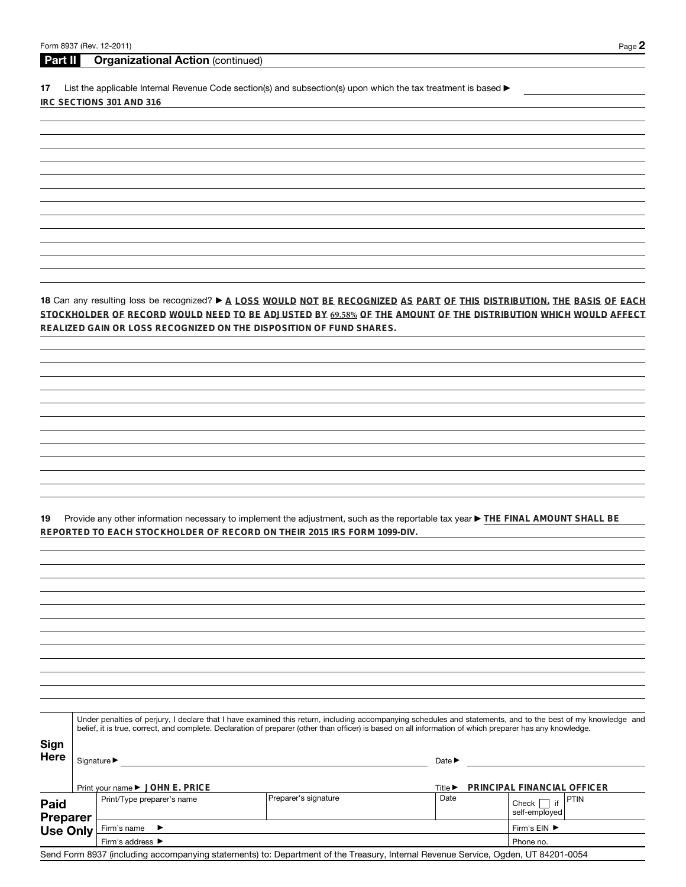## **Part II Organizational Action** (continued)

17 List the applicable Internal Revenue Code section(s) and subsection(s) upon which the tax treatment is based  $\blacktriangleright$ **IRC SECTIONS 301 AND 316**

18 Can any resulting loss be recognized? > A LOSS WOULD NOT BE RECOGNIZED AS PART OF THIS DISTRIBUTION. THE BASIS OF EACH STOCKHOLDER OF RECORD WOULD NEED TO BE ADJUSTED BY 69.58% OF THE AMOUNT OF THE DISTRIBUTION WHICH WOULD AFFECT **REALIZED GAIN OR LOSS RECOGNIZED ON THE DISPOSITION OF FUND SHARES.**

**19** Provide any other information necessary to implement the adjustment, such as the reportable tax year ▶ THE FINAL AMOUNT SHALL BE **REPORTED TO EACH STOCKHOLDER OF RECORD ON THEIR 2015 IRS FORM 1099-DIV.**

|                            | Under penalties of perjury, I declare that I have examined this return, including accompanying schedules and statements, and to the best of my knowledge and<br>belief, it is true, correct, and complete. Declaration of preparer (other than officer) is based on all information of which preparer has any knowledge. |                                                                                                                                   |                                                           |                                      |  |  |  |
|----------------------------|--------------------------------------------------------------------------------------------------------------------------------------------------------------------------------------------------------------------------------------------------------------------------------------------------------------------------|-----------------------------------------------------------------------------------------------------------------------------------|-----------------------------------------------------------|--------------------------------------|--|--|--|
| <b>Sign</b><br><b>Here</b> | Signature ▶<br>Print your name ► JOHN E. PRICE                                                                                                                                                                                                                                                                           |                                                                                                                                   | Date $\blacktriangleright$<br>Title $\blacktriangleright$ | PRINCIPAL FINANCIAL OFFICER          |  |  |  |
| Paid<br><b>Preparer</b>    | Print/Type preparer's name                                                                                                                                                                                                                                                                                               | Preparer's signature                                                                                                              | Date                                                      | PTIN<br>Check<br>if<br>self-emploved |  |  |  |
| <b>Use Only</b>            | Firm's name<br>$\rightarrow$                                                                                                                                                                                                                                                                                             |                                                                                                                                   |                                                           | Firm's $EIN$ $\blacktriangleright$   |  |  |  |
|                            | Firm's address $\blacktriangleright$                                                                                                                                                                                                                                                                                     | Phone no.                                                                                                                         |                                                           |                                      |  |  |  |
|                            |                                                                                                                                                                                                                                                                                                                          | Send Form 8937 (including accompanying statements) to: Department of the Treasury, Internal Revenue Service, Ogden, UT 84201-0054 |                                                           |                                      |  |  |  |